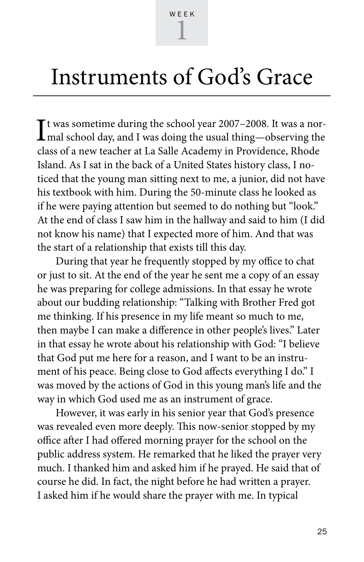## Instruments of God's Grace

It was sometime during the school year 2007–2008. It was a nor-<br>mal school day, and I was doing the usual thing—observing the Tt was sometime during the school year 2007–2008. It was a norclass of a new teacher at La Salle Academy in Providence, Rhode Island. As I sat in the back of a United States history class, I noticed that the young man sitting next to me, a junior, did not have his textbook with him. During the 50-minute class he looked as if he were paying attention but seemed to do nothing but "look." At the end of class I saw him in the hallway and said to him (I did not know his name) that I expected more of him. And that was the start of a relationship that exists till this day.

During that year he frequently stopped by my office to chat or just to sit. At the end of the year he sent me a copy of an essay he was preparing for college admissions. In that essay he wrote about our budding relationship: "Talking with Brother Fred got me thinking. If his presence in my life meant so much to me, then maybe I can make a difference in other people's lives." Later in that essay he wrote about his relationship with God: "I believe that God put me here for a reason, and I want to be an instrument of his peace. Being close to God affects everything I do." I was moved by the actions of God in this young man's life and the way in which God used me as an instrument of grace.

However, it was early in his senior year that God's presence was revealed even more deeply. This now-senior stopped by my office after I had offered morning prayer for the school on the public address system. He remarked that he liked the prayer very much. I thanked him and asked him if he prayed. He said that of course he did. In fact, the night before he had written a prayer. I asked him if he would share the prayer with me. In typical